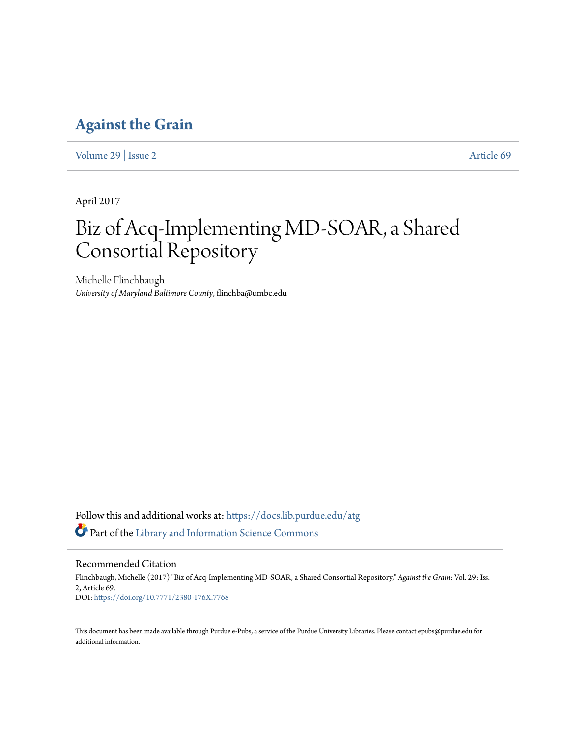### **[Against the Grain](https://docs.lib.purdue.edu/atg?utm_source=docs.lib.purdue.edu%2Fatg%2Fvol29%2Fiss2%2F69&utm_medium=PDF&utm_campaign=PDFCoverPages)**

[Volume 29](https://docs.lib.purdue.edu/atg/vol29?utm_source=docs.lib.purdue.edu%2Fatg%2Fvol29%2Fiss2%2F69&utm_medium=PDF&utm_campaign=PDFCoverPages) | [Issue 2](https://docs.lib.purdue.edu/atg/vol29/iss2?utm_source=docs.lib.purdue.edu%2Fatg%2Fvol29%2Fiss2%2F69&utm_medium=PDF&utm_campaign=PDFCoverPages) [Article 69](https://docs.lib.purdue.edu/atg/vol29/iss2/69?utm_source=docs.lib.purdue.edu%2Fatg%2Fvol29%2Fiss2%2F69&utm_medium=PDF&utm_campaign=PDFCoverPages)

April 2017

## Biz of Acq-Implementing MD-SOAR, a Shared Consortial Repository

Michelle Flinchbaugh *University of Maryland Baltimore County*, flinchba@umbc.edu

Follow this and additional works at: [https://docs.lib.purdue.edu/atg](https://docs.lib.purdue.edu/atg?utm_source=docs.lib.purdue.edu%2Fatg%2Fvol29%2Fiss2%2F69&utm_medium=PDF&utm_campaign=PDFCoverPages) Part of the [Library and Information Science Commons](http://network.bepress.com/hgg/discipline/1018?utm_source=docs.lib.purdue.edu%2Fatg%2Fvol29%2Fiss2%2F69&utm_medium=PDF&utm_campaign=PDFCoverPages)

Recommended Citation Flinchbaugh, Michelle (2017) "Biz of Acq-Implementing MD-SOAR, a Shared Consortial Repository," *Against the Grain*: Vol. 29: Iss. 2, Article 69. DOI: <https://doi.org/10.7771/2380-176X.7768>

This document has been made available through Purdue e-Pubs, a service of the Purdue University Libraries. Please contact epubs@purdue.edu for additional information.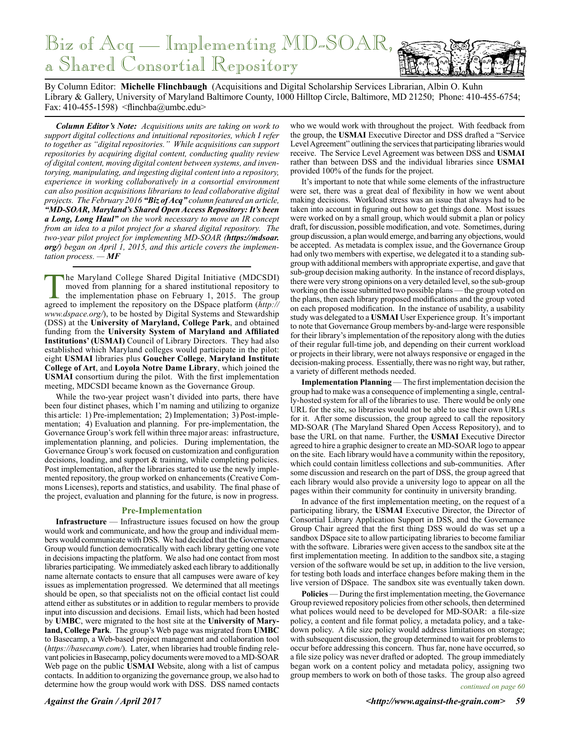## Biz of Acq — Implementing MD-SOAR, a Shared Consortial Repository

By Column Editor: **Michelle Flinchbaugh** (Acquisitions and Digital Scholarship Services Librarian, Albin O. Kuhn Library & Gallery, University of Maryland Baltimore County, 1000 Hilltop Circle, Baltimore, MD 21250; Phone: 410-455-6754; Fax: 410-455-1598) <flinchba@umbc.edu>

*Column Editor's Note: Acquisitions units are taking on work to support digital collections and intuitional repositories, which I refer to together as "digital repositories." While acquisitions can support repositories by acquiring digital content, conducting quality review of digital content, moving digital content between systems, and inventorying, manipulating, and ingesting digital content into a repository, experience in working collaboratively in a consortial environment can also position acquisitions librarians to lead collaborative digital projects. The February 2016 "Biz of Acq" column featured an article, "MD-SOAR, Maryland's Shared Open Access Repository: It's been a Long, Long Haul" on the work necessary to move an IR concept from an idea to a pilot project for a shared digital repository. The two-year pilot project for implementing MD-SOAR (https://mdsoar. org/) began on April 1, 2015, and this article covers the implementation process. — MF*

The Maryland College Shared Digital Initiative (MDCSDI) moved from planning for a shared institutional repository to the implementation phase on February 1, 2015. The group agreed to implement the repository on the DSpace platform (*http:// www.dspace.org/*), to be hosted by Digital Systems and Stewardship (DSS) at the **University of Maryland, College Park**, and obtained funding from the **University System of Maryland and Affiliated Institutions' (USMAI)** Council of Library Directors. They had also established which Maryland colleges would participate in the pilot: eight **USMAI** libraries plus **Goucher College**, **Maryland Institute College of Art**, and **Loyola Notre Dame Library**, which joined the **USMAI** consortium during the pilot. With the first implementation meeting, MDCSDI became known as the Governance Group.

While the two-year project wasn't divided into parts, there have been four distinct phases, which I'm naming and utilizing to organize this article: 1) Pre-implementation; 2) Implementation; 3) Post-implementation; 4) Evaluation and planning. For pre-implementation, the Governance Group's work fell within three major areas: infrastructure, implementation planning, and policies. During implementation, the Governance Group's work focused on customization and configuration decisions, loading, and support & training, while completing policies. Post implementation, after the libraries started to use the newly implemented repository, the group worked on enhancements (Creative Commons Licenses), reports and statistics, and usability. The final phase of the project, evaluation and planning for the future, is now in progress.

#### **Pre-Implementation**

**Infrastructure** — Infrastructure issues focused on how the group would work and communicate, and how the group and individual members would communicate with DSS. We had decided that the Governance Group would function democratically with each library getting one vote in decisions impacting the platform. We also had one contact from most libraries participating. We immediately asked each library to additionally name alternate contacts to ensure that all campuses were aware of key issues as implementation progressed. We determined that all meetings should be open, so that specialists not on the official contact list could attend either as substitutes or in addition to regular members to provide input into discussion and decisions. Email lists, which had been hosted by **UMBC**, were migrated to the host site at the **University of Maryland, College Park**. The group's Web page was migrated from **UMBC** to Basecamp, a Web-based project management and collaboration tool (*https://basecamp.com/*). Later, when libraries had trouble finding relevant policies in Basecamp, policy documents were moved to a MD-SOAR Web page on the public **USMAI** Website, along with a list of campus contacts. In addition to organizing the governance group, we also had to determine how the group would work with DSS. DSS named contacts

who we would work with throughout the project. With feedback from the group, the **USMAI** Executive Director and DSS drafted a "Service Level Agreement" outlining the services that participating libraries would receive. The Service Level Agreement was between DSS and **USMAI** rather than between DSS and the individual libraries since **USMAI** provided 100% of the funds for the project.

It's important to note that while some elements of the infrastructure were set, there was a great deal of flexibility in how we went about making decisions. Workload stress was an issue that always had to be taken into account in figuring out how to get things done. Most issues were worked on by a small group, which would submit a plan or policy draft, for discussion, possible modification, and vote. Sometimes, during group discussion, a plan would emerge, and barring any objections, would be accepted. As metadata is complex issue, and the Governance Group had only two members with expertise, we delegated it to a standing subgroup with additional members with appropriate expertise, and gave that sub-group decision making authority. In the instance of record displays, there were very strong opinions on a very detailed level, so the sub-group working on the issue submitted two possible plans — the group voted on the plans, then each library proposed modifications and the group voted on each proposed modification. In the instance of usability, a usability study was delegated to a **USMAI** User Experience group. It's important to note that Governance Group members by-and-large were responsible for their library's implementation of the repository along with the duties of their regular full-time job, and depending on their current workload or projects in their library, were not always responsive or engaged in the decision-making process. Essentially, there was no right way, but rather, a variety of different methods needed.

**Implementation Planning** — The first implementation decision the group had to make was a consequence of implementing a single, centrally-hosted system for all of the libraries to use. There would be only one URL for the site, so libraries would not be able to use their own URLs for it. After some discussion, the group agreed to call the repository MD-SOAR (The Maryland Shared Open Access Repository), and to base the URL on that name. Further, the **USMAI** Executive Director agreed to hire a graphic designer to create an MD-SOAR logo to appear on the site. Each library would have a community within the repository, which could contain limitless collections and sub-communities. After some discussion and research on the part of DSS, the group agreed that each library would also provide a university logo to appear on all the pages within their community for continuity in university branding.

In advance of the first implementation meeting, on the request of a participating library, the **USMAI** Executive Director, the Director of Consortial Library Application Support in DSS, and the Governance Group Chair agreed that the first thing DSS would do was set up a sandbox DSpace site to allow participating libraries to become familiar with the software. Libraries were given access to the sandbox site at the first implementation meeting. In addition to the sandbox site, a staging version of the software would be set up, in addition to the live version, for testing both loads and interface changes before making them in the live version of DSpace. The sandbox site was eventually taken down.

**Policies** — During the first implementation meeting, the Governance Group reviewed repository policies from other schools, then determined what polices would need to be developed for MD-SOAR: a file-size policy, a content and file format policy, a metadata policy, and a takedown policy. A file size policy would address limitations on storage; with subsequent discussion, the group determined to wait for problems to occur before addressing this concern. Thus far, none have occurred, so a file size policy was never drafted or adopted. The group immediately began work on a content policy and metadata policy, assigning two group members to work on both of those tasks. The group also agreed

*continued on page 60*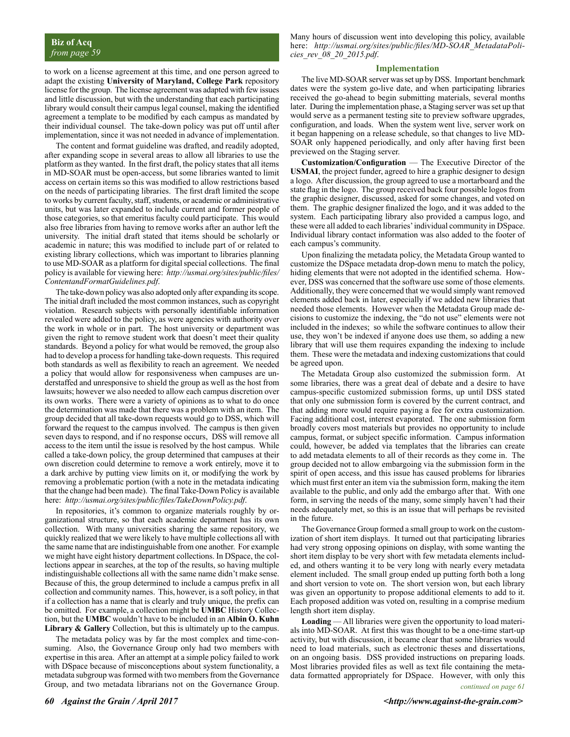to work on a license agreement at this time, and one person agreed to adapt the existing **University of Maryland, College Park** repository license for the group. The license agreement was adapted with few issues and little discussion, but with the understanding that each participating library would consult their campus legal counsel, making the identified agreement a template to be modified by each campus as mandated by their individual counsel. The take-down policy was put off until after implementation, since it was not needed in advance of implementation.

The content and format guideline was drafted, and readily adopted, after expanding scope in several areas to allow all libraries to use the platform as they wanted. In the first draft, the policy states that all items in MD-SOAR must be open-access, but some libraries wanted to limit access on certain items so this was modified to allow restrictions based on the needs of participating libraries. The first draft limited the scope to works by current faculty, staff, students, or academic or administrative units, but was later expanded to include current and former people of those categories, so that emeritus faculty could participate. This would also free libraries from having to remove works after an author left the university. The initial draft stated that items should be scholarly or academic in nature; this was modified to include part of or related to existing library collections, which was important to libraries planning to use MD-SOAR as a platform for digital special collections. The final policy is available for viewing here: *http://usmai.org/sites/public/files/ ContentandFormatGuidelines.pdf*.

The take-down policy was also adopted only after expanding its scope. The initial draft included the most common instances, such as copyright violation. Research subjects with personally identifiable information revealed were added to the policy, as were agencies with authority over the work in whole or in part. The host university or department was given the right to remove student work that doesn't meet their quality standards. Beyond a policy for what would be removed, the group also had to develop a process for handling take-down requests. This required both standards as well as flexibility to reach an agreement. We needed a policy that would allow for responsiveness when campuses are understaffed and unresponsive to shield the group as well as the host from lawsuits; however we also needed to allow each campus discretion over its own works. There were a variety of opinions as to what to do once the determination was made that there was a problem with an item. The group decided that all take-down requests would go to DSS, which will forward the request to the campus involved. The campus is then given seven days to respond, and if no response occurs, DSS will remove all access to the item until the issue is resolved by the host campus. While called a take-down policy, the group determined that campuses at their own discretion could determine to remove a work entirely, move it to a dark archive by putting view limits on it, or modifying the work by removing a problematic portion (with a note in the metadata indicating that the change had been made). The final Take-Down Policy is available here: *http://usmai.org/sites/public/files/TakeDownPolicy.pdf*.

In repositories, it's common to organize materials roughly by organizational structure, so that each academic department has its own collection. With many universities sharing the same repository, we quickly realized that we were likely to have multiple collections all with the same name that are indistinguishable from one another. For example we might have eight history department collections. In DSpace, the collections appear in searches, at the top of the results, so having multiple indistinguishable collections all with the same name didn't make sense. Because of this, the group determined to include a campus prefix in all collection and community names. This, however, is a soft policy, in that if a collection has a name that is clearly and truly unique, the prefix can be omitted. For example, a collection might be **UMBC** History Collection, but the **UMBC** wouldn't have to be included in an **Albin O. Kuhn Library & Gallery** Collection, but this is ultimately up to the campus.

The metadata policy was by far the most complex and time-consuming. Also, the Governance Group only had two members with expertise in this area. After an attempt at a simple policy failed to work with DSpace because of misconceptions about system functionality, a metadata subgroup was formed with two members from the Governance Group, and two metadata librarians not on the Governance Group.

Many hours of discussion went into developing this policy, available here: *http://usmai.org/sites/public/files/MD-SOAR\_MetadataPolicies\_rev\_08\_20\_2015.pdf*.

#### **Implementation**

The live MD-SOAR server was set up by DSS. Important benchmark dates were the system go-live date, and when participating libraries received the go-ahead to begin submitting materials, several months later. During the implementation phase, a Staging server was set up that would serve as a permanent testing site to preview software upgrades, configuration, and loads. When the system went live, server work on it began happening on a release schedule, so that changes to live MD-SOAR only happened periodically, and only after having first been previewed on the Staging server.

**Customization/Configuration** — The Executive Director of the **USMAI**, the project funder, agreed to hire a graphic designer to design a logo. After discussion, the group agreed to use a mortarboard and the state flag in the logo. The group received back four possible logos from the graphic designer, discussed, asked for some changes, and voted on them. The graphic designer finalized the logo, and it was added to the system. Each participating library also provided a campus logo, and these were all added to each libraries' individual community in DSpace. Individual library contact information was also added to the footer of each campus's community.

Upon finalizing the metadata policy, the Metadata Group wanted to customize the DSpace metadata drop-down menu to match the policy, hiding elements that were not adopted in the identified schema. However, DSS was concerned that the software use some of those elements. Additionally, they were concerned that we would simply want removed elements added back in later, especially if we added new libraries that needed those elements. However when the Metadata Group made decisions to customize the indexing, the "do not use" elements were not included in the indexes; so while the software continues to allow their use, they won't be indexed if anyone does use them, so adding a new library that will use them requires expanding the indexing to include them. These were the metadata and indexing customizations that could be agreed upon.

The Metadata Group also customized the submission form. At some libraries, there was a great deal of debate and a desire to have campus-specific customized submission forms, up until DSS stated that only one submission form is covered by the current contract, and that adding more would require paying a fee for extra customization. Facing additional cost, interest evaporated. The one submission form broadly covers most materials but provides no opportunity to include campus, format, or subject specific information. Campus information could, however, be added via templates that the libraries can create to add metadata elements to all of their records as they come in. The group decided not to allow embargoing via the submission form in the spirit of open access, and this issue has caused problems for libraries which must first enter an item via the submission form, making the item available to the public, and only add the embargo after that. With one form, in serving the needs of the many, some simply haven't had their needs adequately met, so this is an issue that will perhaps be revisited in the future.

The Governance Group formed a small group to work on the customization of short item displays. It turned out that participating libraries had very strong opposing opinions on display, with some wanting the short item display to be very short with few metadata elements included, and others wanting it to be very long with nearly every metadata element included. The small group ended up putting forth both a long and short version to vote on. The short version won, but each library was given an opportunity to propose additional elements to add to it. Each proposed addition was voted on, resulting in a comprise medium length short item display.

**Loading** — All libraries were given the opportunity to load materials into MD-SOAR. At first this was thought to be a one-time start-up activity, but with discussion, it became clear that some libraries would need to load materials, such as electronic theses and dissertations, on an ongoing basis. DSS provided instructions on preparing loads. Most libraries provided files as well as text file containing the metadata formatted appropriately for DSpace. However, with only this *continued on page 61*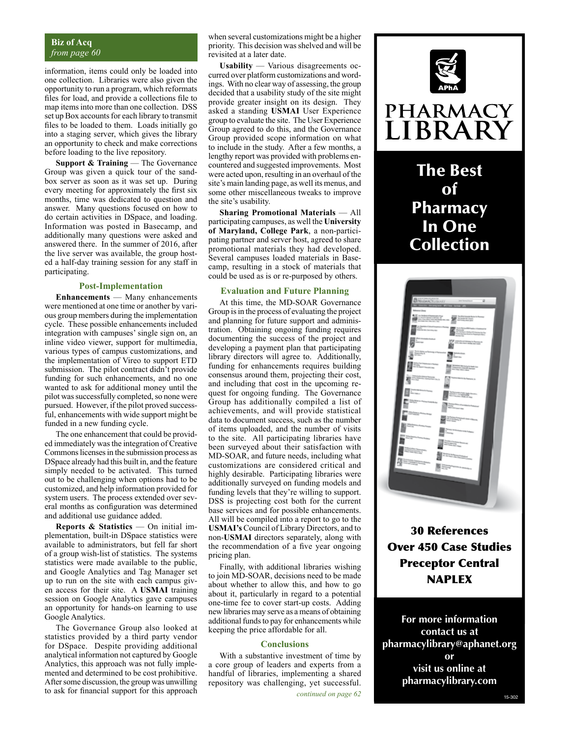#### **Biz of Acq** *from page 60*

information, items could only be loaded into one collection. Libraries were also given the opportunity to run a program, which reformats files for load, and provide a collections file to map items into more than one collection. DSS set up Box accounts for each library to transmit files to be loaded to them. Loads initially go into a staging server, which gives the library an opportunity to check and make corrections before loading to the live repository.

**Support & Training** — The Governance Group was given a quick tour of the sandbox server as soon as it was set up. During every meeting for approximately the first six months, time was dedicated to question and answer. Many questions focused on how to do certain activities in DSpace, and loading. Information was posted in Basecamp, and additionally many questions were asked and answered there. In the summer of 2016, after the live server was available, the group hosted a half-day training session for any staff in participating.

#### **Post-Implementation**

**Enhancements** — Many enhancements were mentioned at one time or another by various group members during the implementation cycle. These possible enhancements included integration with campuses' single sign on, an inline video viewer, support for multimedia, various types of campus customizations, and the implementation of Vireo to support ETD submission. The pilot contract didn't provide funding for such enhancements, and no one wanted to ask for additional money until the pilot was successfully completed, so none were pursued. However, if the pilot proved successful, enhancements with wide support might be funded in a new funding cycle.

The one enhancement that could be provided immediately was the integration of Creative Commons licenses in the submission process as DSpace already had this built in, and the feature simply needed to be activated. This turned out to be challenging when options had to be customized, and help information provided for system users. The process extended over several months as configuration was determined and additional use guidance added.

**Reports & Statistics** — On initial implementation, built-in DSpace statistics were available to administrators, but fell far short of a group wish-list of statistics. The systems statistics were made available to the public, and Google Analytics and Tag Manager set up to run on the site with each campus given access for their site. A **USMAI** training session on Google Analytics gave campuses an opportunity for hands-on learning to use Google Analytics.

The Governance Group also looked at statistics provided by a third party vendor for DSpace. Despite providing additional analytical information not captured by Google Analytics, this approach was not fully implemented and determined to be cost prohibitive. After some discussion, the group was unwilling to ask for financial support for this approach

when several customizations might be a higher priority. This decision was shelved and will be revisited at a later date.

**Usability** — Various disagreements occurred over platform customizations and wordings. With no clear way of assessing, the group decided that a usability study of the site might provide greater insight on its design. They asked a standing **USMAI** User Experience group to evaluate the site. The User Experience Group agreed to do this, and the Governance Group provided scope information on what to include in the study. After a few months, a lengthy report was provided with problems encountered and suggested improvements. Most were acted upon, resulting in an overhaul of the site's main landing page, as well its menus, and some other miscellaneous tweaks to improve the site's usability.

**Sharing Promotional Materials** — All participating campuses, as well the **University of Maryland, College Park**, a non-participating partner and server host, agreed to share promotional materials they had developed. Several campuses loaded materials in Basecamp, resulting in a stock of materials that could be used as is or re-purposed by others.

#### **Evaluation and Future Planning**

At this time, the MD-SOAR Governance Group is in the process of evaluating the project and planning for future support and administration. Obtaining ongoing funding requires documenting the success of the project and developing a payment plan that participating library directors will agree to. Additionally, funding for enhancements requires building consensus around them, projecting their cost, and including that cost in the upcoming request for ongoing funding. The Governance Group has additionally compiled a list of achievements, and will provide statistical data to document success, such as the number of items uploaded, and the number of visits to the site. All participating libraries have been surveyed about their satisfaction with MD-SOAR, and future needs, including what customizations are considered critical and highly desirable. Participating libraries were additionally surveyed on funding models and funding levels that they're willing to support. DSS is projecting cost both for the current base services and for possible enhancements. All will be compiled into a report to go to the **USMAI's** Council of Library Directors, and to non-**USMAI** directors separately, along with the recommendation of a five year ongoing pricing plan.

Finally, with additional libraries wishing to join MD-SOAR, decisions need to be made about whether to allow this, and how to go about it, particularly in regard to a potential one-time fee to cover start-up costs. Adding new libraries may serve as a means of obtaining additional funds to pay for enhancements while keeping the price affordable for all.

#### **Conclusions**

With a substantive investment of time by a core group of leaders and experts from a handful of libraries, implementing a shared repository was challenging, yet successful.



### **PHARMACY** LIBRARY

### The Best of Pharmacy In One Collection



30 References Over 450 Case Studies Preceptor Central NAPLEX

**For more information contact us at pharmacylibrary@aphanet.org or visit us online at pharmacylibrary.com**